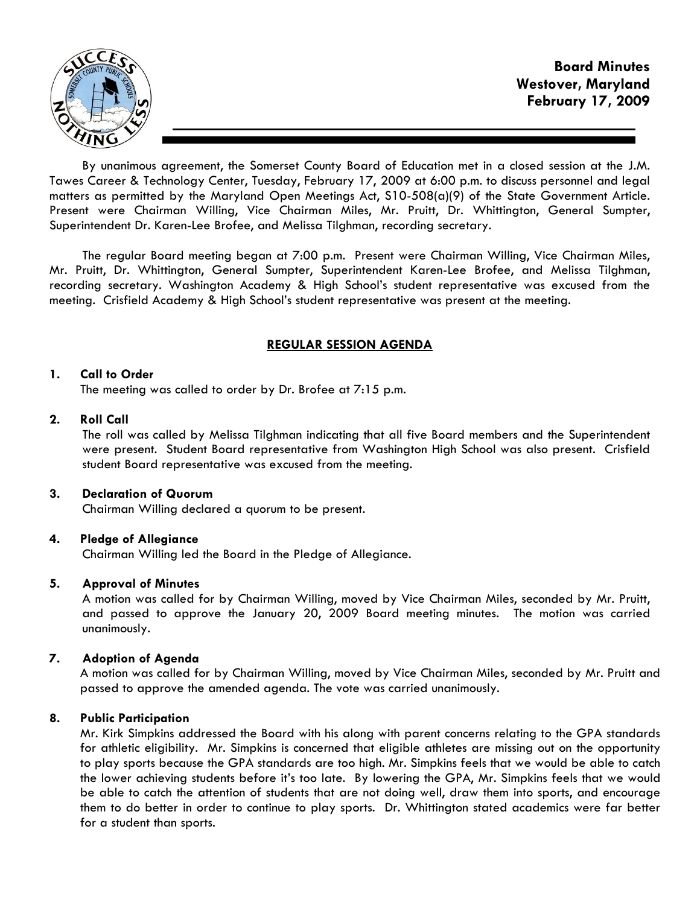

By unanimous agreement, the Somerset County Board of Education met in a closed session at the J.M. Tawes Career & Technology Center, Tuesday, February 17, 2009 at 6:00 p.m. to discuss personnel and legal matters as permitted by the Maryland Open Meetings Act, S10-508(a)(9) of the State Government Article. Present were Chairman Willing, Vice Chairman Miles, Mr. Pruitt, Dr. Whittington, General Sumpter, Superintendent Dr. Karen-Lee Brofee, and Melissa Tilghman, recording secretary.

The regular Board meeting began at 7:00 p.m. Present were Chairman Willing, Vice Chairman Miles, Mr. Pruitt, Dr. Whittington, General Sumpter, Superintendent Karen-Lee Brofee, and Melissa Tilghman, recording secretary. Washington Academy & High School's student representative was excused from the meeting. Crisfield Academy & High School's student representative was present at the meeting.

# REGULAR SESSION AGENDA

# 1. Call to Order

The meeting was called to order by Dr. Brofee at 7:15 p.m.

### 2. Roll Call

The roll was called by Melissa Tilghman indicating that all five Board members and the Superintendent were present. Student Board representative from Washington High School was also present. Crisfield student Board representative was excused from the meeting.

# 3. Declaration of Quorum

Chairman Willing declared a quorum to be present.

# 4. Pledge of Allegiance

Chairman Willing led the Board in the Pledge of Allegiance.

# 5. Approval of Minutes

 A motion was called for by Chairman Willing, moved by Vice Chairman Miles, seconded by Mr. Pruitt, and passed to approve the January 20, 2009 Board meeting minutes. The motion was carried unanimously.

# 7. Adoption of Agenda

 A motion was called for by Chairman Willing, moved by Vice Chairman Miles, seconded by Mr. Pruitt and passed to approve the amended agenda. The vote was carried unanimously.

# 8. Public Participation

 Mr. Kirk Simpkins addressed the Board with his along with parent concerns relating to the GPA standards for athletic eligibility. Mr. Simpkins is concerned that eligible athletes are missing out on the opportunity to play sports because the GPA standards are too high. Mr. Simpkins feels that we would be able to catch the lower achieving students before it's too late. By lowering the GPA, Mr. Simpkins feels that we would be able to catch the attention of students that are not doing well, draw them into sports, and encourage them to do better in order to continue to play sports. Dr. Whittington stated academics were far better for a student than sports.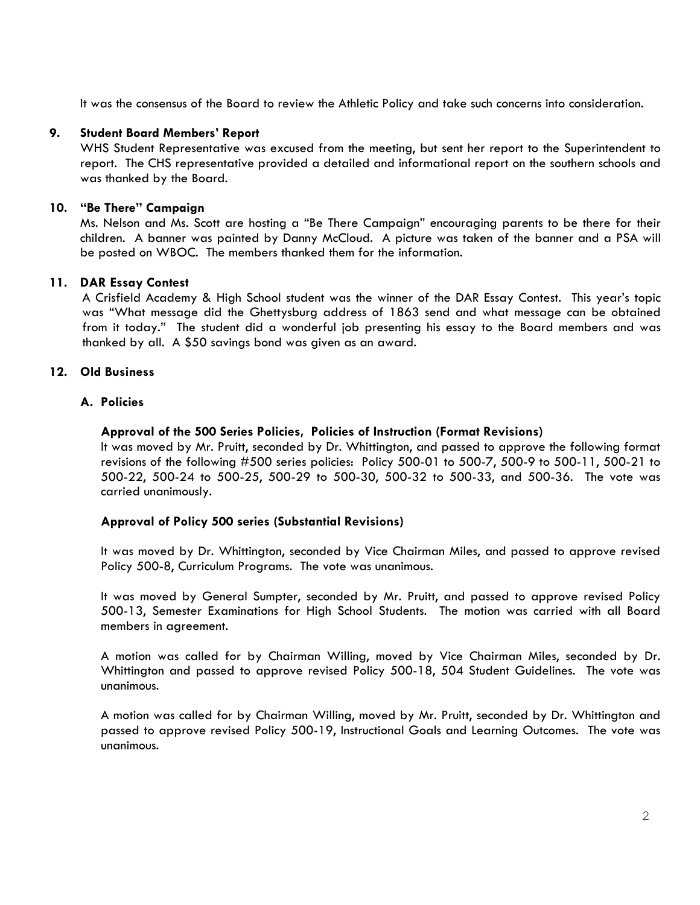It was the consensus of the Board to review the Athletic Policy and take such concerns into consideration.

# 9. Student Board Members' Report

WHS Student Representative was excused from the meeting, but sent her report to the Superintendent to report. The CHS representative provided a detailed and informational report on the southern schools and was thanked by the Board.

# 10. "Be There" Campaign

 Ms. Nelson and Ms. Scott are hosting a "Be There Campaign" encouraging parents to be there for their children. A banner was painted by Danny McCloud. A picture was taken of the banner and a PSA will be posted on WBOC. The members thanked them for the information.

# 11. DAR Essay Contest

 A Crisfield Academy & High School student was the winner of the DAR Essay Contest. This year's topic was "What message did the Ghettysburg address of 1863 send and what message can be obtained from it today." The student did a wonderful job presenting his essay to the Board members and was thanked by all. A \$50 savings bond was given as an award.

# 12. Old Business

# A. Policies

# Approval of the 500 Series Policies, Policies of Instruction (Format Revisions)

It was moved by Mr. Pruitt, seconded by Dr. Whittington, and passed to approve the following format revisions of the following #500 series policies: Policy 500-01 to 500-7, 500-9 to 500-11, 500-21 to 500-22, 500-24 to 500-25, 500-29 to 500-30, 500-32 to 500-33, and 500-36. The vote was carried unanimously.

# Approval of Policy 500 series (Substantial Revisions)

It was moved by Dr. Whittington, seconded by Vice Chairman Miles, and passed to approve revised Policy 500-8, Curriculum Programs. The vote was unanimous.

It was moved by General Sumpter, seconded by Mr. Pruitt, and passed to approve revised Policy 500-13, Semester Examinations for High School Students. The motion was carried with all Board members in agreement.

A motion was called for by Chairman Willing, moved by Vice Chairman Miles, seconded by Dr. Whittington and passed to approve revised Policy 500-18, 504 Student Guidelines. The vote was unanimous.

A motion was called for by Chairman Willing, moved by Mr. Pruitt, seconded by Dr. Whittington and passed to approve revised Policy 500-19, Instructional Goals and Learning Outcomes. The vote was unanimous.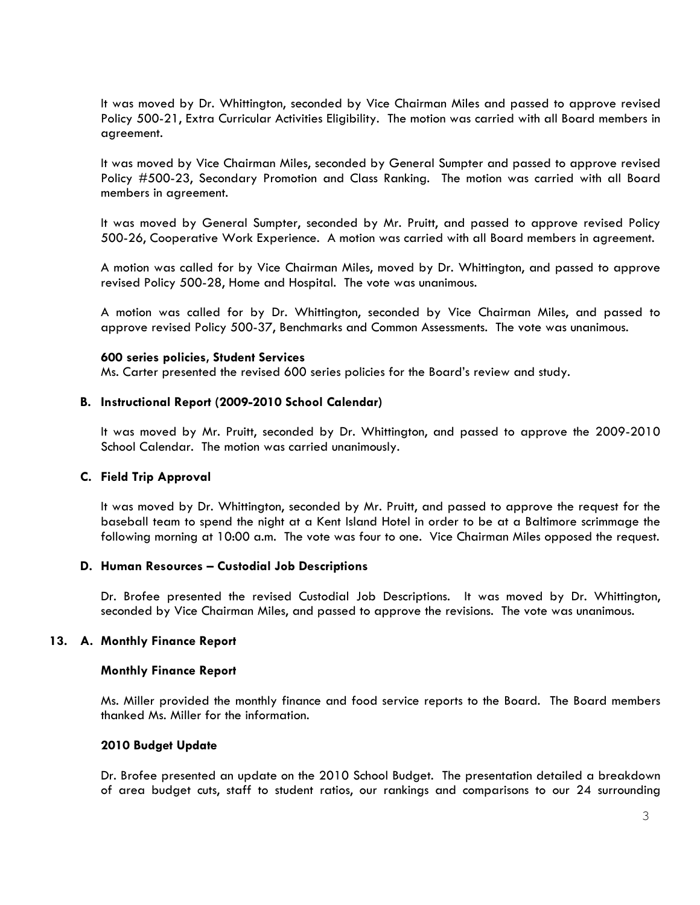It was moved by Dr. Whittington, seconded by Vice Chairman Miles and passed to approve revised Policy 500-21, Extra Curricular Activities Eligibility. The motion was carried with all Board members in agreement.

It was moved by Vice Chairman Miles, seconded by General Sumpter and passed to approve revised Policy #500-23, Secondary Promotion and Class Ranking. The motion was carried with all Board members in agreement.

It was moved by General Sumpter, seconded by Mr. Pruitt, and passed to approve revised Policy 500-26, Cooperative Work Experience. A motion was carried with all Board members in agreement.

A motion was called for by Vice Chairman Miles, moved by Dr. Whittington, and passed to approve revised Policy 500-28, Home and Hospital. The vote was unanimous.

A motion was called for by Dr. Whittington, seconded by Vice Chairman Miles, and passed to approve revised Policy 500-37, Benchmarks and Common Assessments. The vote was unanimous.

#### 600 series policies, Student Services

Ms. Carter presented the revised 600 series policies for the Board's review and study.

# B. Instructional Report (2009-2010 School Calendar)

It was moved by Mr. Pruitt, seconded by Dr. Whittington, and passed to approve the 2009-2010 School Calendar. The motion was carried unanimously.

# C. Field Trip Approval

It was moved by Dr. Whittington, seconded by Mr. Pruitt, and passed to approve the request for the baseball team to spend the night at a Kent Island Hotel in order to be at a Baltimore scrimmage the following morning at 10:00 a.m. The vote was four to one. Vice Chairman Miles opposed the request.

#### D. Human Resources – Custodial Job Descriptions

Dr. Brofee presented the revised Custodial Job Descriptions. It was moved by Dr. Whittington, seconded by Vice Chairman Miles, and passed to approve the revisions. The vote was unanimous.

#### 13. A. Monthly Finance Report

#### Monthly Finance Report

Ms. Miller provided the monthly finance and food service reports to the Board. The Board members thanked Ms. Miller for the information.

#### 2010 Budget Update

Dr. Brofee presented an update on the 2010 School Budget. The presentation detailed a breakdown of area budget cuts, staff to student ratios, our rankings and comparisons to our 24 surrounding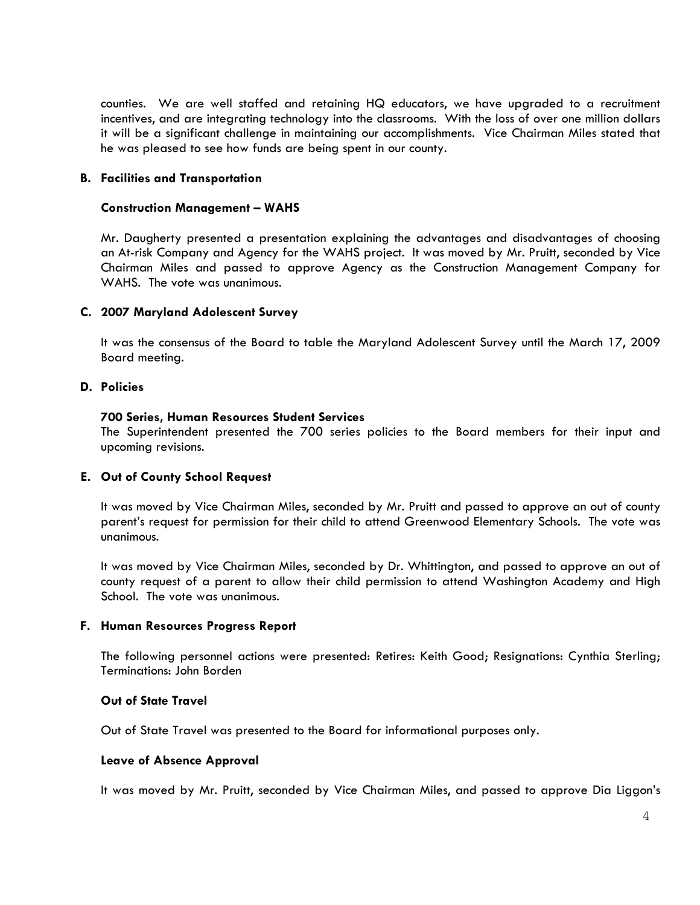counties. We are well staffed and retaining HQ educators, we have upgraded to a recruitment incentives, and are integrating technology into the classrooms. With the loss of over one million dollars it will be a significant challenge in maintaining our accomplishments. Vice Chairman Miles stated that he was pleased to see how funds are being spent in our county.

# B. Facilities and Transportation

#### Construction Management – WAHS

Mr. Daugherty presented a presentation explaining the advantages and disadvantages of choosing an At-risk Company and Agency for the WAHS project. It was moved by Mr. Pruitt, seconded by Vice Chairman Miles and passed to approve Agency as the Construction Management Company for WAHS. The vote was unanimous.

### C. 2007 Maryland Adolescent Survey

It was the consensus of the Board to table the Maryland Adolescent Survey until the March 17, 2009 Board meeting.

### D. Policies

#### 700 Series, Human Resources Student Services

The Superintendent presented the 700 series policies to the Board members for their input and upcoming revisions.

#### E. Out of County School Request

It was moved by Vice Chairman Miles, seconded by Mr. Pruitt and passed to approve an out of county parent's request for permission for their child to attend Greenwood Elementary Schools. The vote was unanimous.

It was moved by Vice Chairman Miles, seconded by Dr. Whittington, and passed to approve an out of county request of a parent to allow their child permission to attend Washington Academy and High School. The vote was unanimous.

#### F. Human Resources Progress Report

The following personnel actions were presented: Retires: Keith Good; Resignations: Cynthia Sterling; Terminations: John Borden

### Out of State Travel

Out of State Travel was presented to the Board for informational purposes only.

#### Leave of Absence Approval

It was moved by Mr. Pruitt, seconded by Vice Chairman Miles, and passed to approve Dia Liggon's